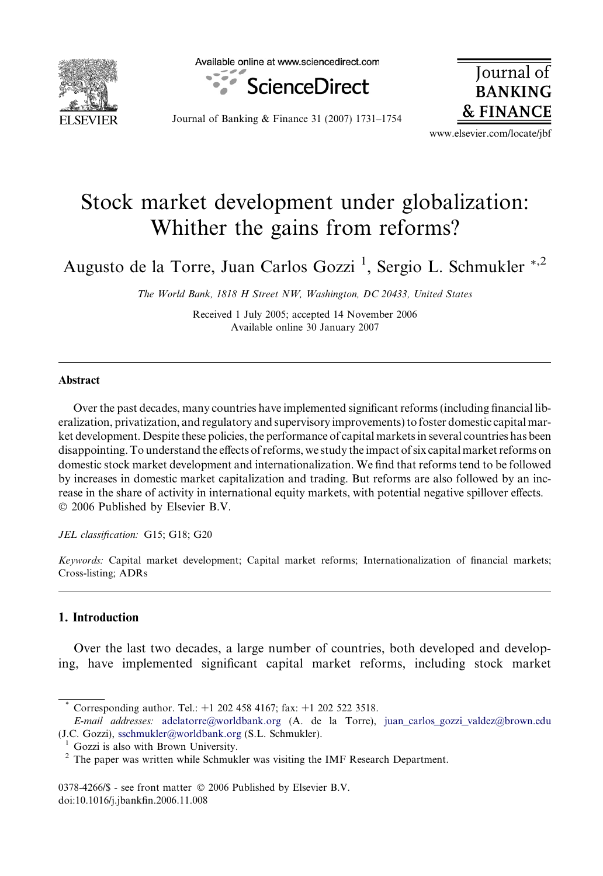

Available online at www.sciencedirect.com



Journal of **BANKING & FINANCE** 

Journal of Banking & Finance 31 (2007) 1731–1754

www.elsevier.com/locate/jbf

## Stock market development under globalization: Whither the gains from reforms?

Augusto de la Torre, Juan Carlos Gozzi<sup>1</sup>, Sergio L. Schmukler \*<sup>,2</sup>

The World Bank, 1818 H Street NW, Washington, DC 20433, United States

Received 1 July 2005; accepted 14 November 2006 Available online 30 January 2007

## Abstract

Over the past decades, many countries have implemented significant reforms (including financial liberalization, privatization, and regulatory and supervisory improvements) to foster domestic capital market development. Despite these policies, the performance of capital markets in several countries has been disappointing. To understand the effects of reforms, we study the impact of six capital market reforms on domestic stock market development and internationalization. We find that reforms tend to be followed by increases in domestic market capitalization and trading. But reforms are also followed by an increase in the share of activity in international equity markets, with potential negative spillover effects. © 2006 Published by Elsevier B.V.

JEL classification: G15; G18; G20

Keywords: Capital market development; Capital market reforms; Internationalization of financial markets; Cross-listing; ADRs

## 1. Introduction

Over the last two decades, a large number of countries, both developed and developing, have implemented significant capital market reforms, including stock market

Corresponding author. Tel.: +1 202 458 4167; fax: +1 202 522 3518.

E-mail addresses: [adelatorre@worldbank.org](mailto:adelatorre@worldbank.org) (A. de la Torre), juan carlos gozzi valdez@brown.edu (J.C. Gozzi), [sschmukler@worldbank.org](mailto:sschmukler@worldbank.org ) (S.L. Schmukler).

 $1$  Gozzi is also with Brown University.<br><sup>2</sup> The paper was written while Schmukler was visiting the IMF Research Department.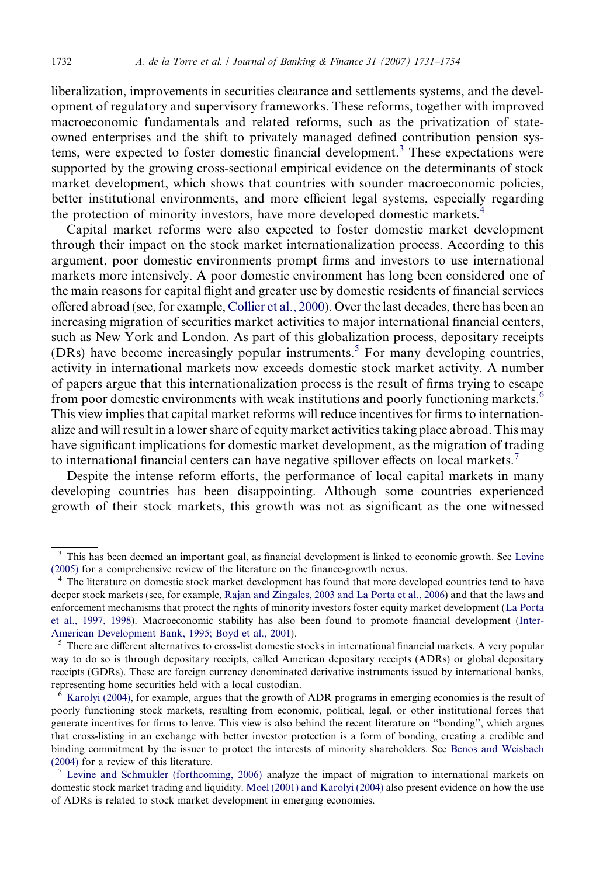liberalization, improvements in securities clearance and settlements systems, and the development of regulatory and supervisory frameworks. These reforms, together with improved macroeconomic fundamentals and related reforms, such as the privatization of stateowned enterprises and the shift to privately managed defined contribution pension systems, were expected to foster domestic financial development.<sup>3</sup> These expectations were supported by the growing cross-sectional empirical evidence on the determinants of stock market development, which shows that countries with sounder macroeconomic policies, better institutional environments, and more efficient legal systems, especially regarding the protection of minority investors, have more developed domestic markets.<sup>4</sup>

Capital market reforms were also expected to foster domestic market development through their impact on the stock market internationalization process. According to this argument, poor domestic environments prompt firms and investors to use international markets more intensively. A poor domestic environment has long been considered one of the main reasons for capital flight and greater use by domestic residents of financial services offered abroad (see, for example, [Collier et al., 2000\)](#page--1-0). Over the last decades, there has been an increasing migration of securities market activities to major international financial centers, such as New York and London. As part of this globalization process, depositary receipts (DRs) have become increasingly popular instruments.<sup>5</sup> For many developing countries, activity in international markets now exceeds domestic stock market activity. A number of papers argue that this internationalization process is the result of firms trying to escape from poor domestic environments with weak institutions and poorly functioning markets.<sup>6</sup> This view implies that capital market reforms will reduce incentives for firms to internationalize and will result in a lower share of equity market activities taking place abroad. This may have significant implications for domestic market development, as the migration of trading to international financial centers can have negative spillover effects on local markets.<sup>7</sup>

Despite the intense reform efforts, the performance of local capital markets in many developing countries has been disappointing. Although some countries experienced growth of their stock markets, this growth was not as significant as the one witnessed

<sup>&</sup>lt;sup>3</sup> This has been deemed an important goal, as financial development is linked to economic growth. See [Levine](#page--1-0) [\(2005\)](#page--1-0) for a comprehensive review of the literature on the finance-growth nexus.

<sup>&</sup>lt;sup>4</sup> The literature on domestic stock market development has found that more developed countries tend to have deeper stock markets (see, for example, [Rajan and Zingales, 2003 and La Porta et al., 2006](#page--1-0)) and that the laws and enforcement mechanisms that protect the rights of minority investors foster equity market development [\(La Porta](#page--1-0) [et al., 1997, 1998\)](#page--1-0). Macroeconomic stability has also been found to promote financial development [\(Inter-](#page--1-0)[American Development Bank, 1995; Boyd et al., 2001\)](#page--1-0).<br><sup>5</sup> There are different alternatives to cross-list domestic stocks in international financial markets. A very popular

way to do so is through depositary receipts, called American depositary receipts (ADRs) or global depositary receipts (GDRs). These are foreign currency denominated derivative instruments issued by international banks, representing home securities held with a local custodian.

<sup>6</sup> [Karolyi \(2004\)](#page--1-0), for example, argues that the growth of ADR programs in emerging economies is the result of poorly functioning stock markets, resulting from economic, political, legal, or other institutional forces that generate incentives for firms to leave. This view is also behind the recent literature on ''bonding'', which argues that cross-listing in an exchange with better investor protection is a form of bonding, creating a credible and binding commitment by the issuer to protect the interests of minority shareholders. See [Benos and Weisbach](#page--1-0) [\(2004\)](#page--1-0) for a review of this literature.<br><sup>7</sup> [Levine and Schmukler \(forthcoming, 2006\)](#page--1-0) analyze the impact of migration to international markets on

domestic stock market trading and liquidity. [Moel \(2001\) and Karolyi \(2004\)](#page--1-0) also present evidence on how the use of ADRs is related to stock market development in emerging economies.